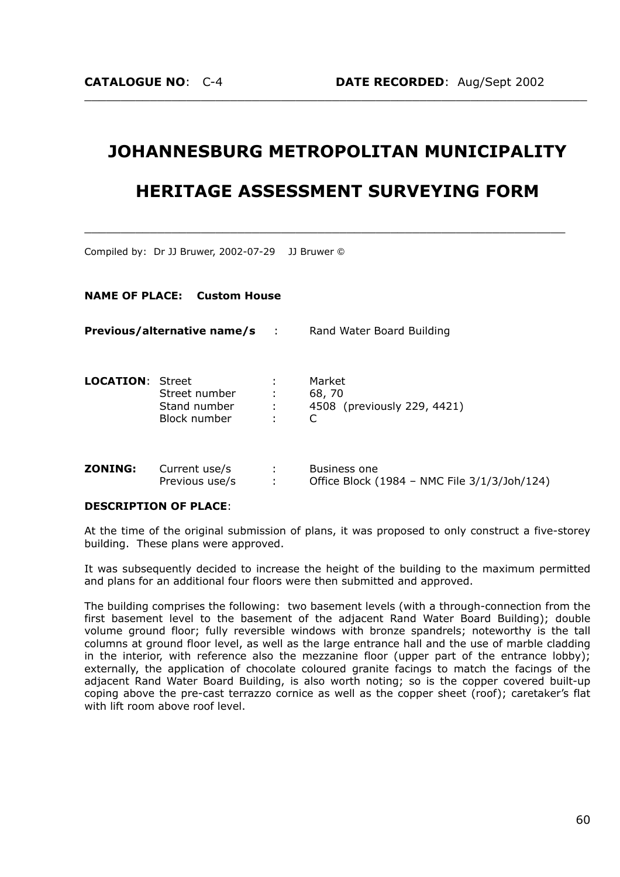# **JOHANNESBURG METROPOLITAN MUNICIPALITY**

 $\_$  , and the set of the set of the set of the set of the set of the set of the set of the set of the set of the set of the set of the set of the set of the set of the set of the set of the set of the set of the set of th

# **HERITAGE ASSESSMENT SURVEYING FORM**

 $\_$  , and the contribution of the contribution of  $\mathcal{L}_\mathcal{A}$  , and the contribution of  $\mathcal{L}_\mathcal{A}$ 

Compiled by: Dr JJ Bruwer, 2002-07-29 JJ Bruwer ©

# **NAME OF PLACE: Custom House**

| Previous/alternative name/s |                                               | $\sim$ 10 $\sim$ | Rand Water Board Building                       |  |
|-----------------------------|-----------------------------------------------|------------------|-------------------------------------------------|--|
| <b>LOCATION: Street</b>     | Street number<br>Stand number<br>Block number | ÷<br>÷<br>÷      | Market<br>68, 70<br>4508 (previously 229, 4421) |  |
|                             |                                               |                  |                                                 |  |

| <b>ZONING:</b> | Current use/s  | Business one                                 |
|----------------|----------------|----------------------------------------------|
|                | Previous use/s | Office Block (1984 - NMC File 3/1/3/Joh/124) |

#### **DESCRIPTION OF PLACE**:

At the time of the original submission of plans, it was proposed to only construct a five-storey building. These plans were approved.

It was subsequently decided to increase the height of the building to the maximum permitted and plans for an additional four floors were then submitted and approved.

The building comprises the following: two basement levels (with a through-connection from the first basement level to the basement of the adjacent Rand Water Board Building); double volume ground floor; fully reversible windows with bronze spandrels; noteworthy is the tall columns at ground floor level, as well as the large entrance hall and the use of marble cladding in the interior, with reference also the mezzanine floor (upper part of the entrance lobby); externally, the application of chocolate coloured granite facings to match the facings of the adjacent Rand Water Board Building, is also worth noting; so is the copper covered built-up coping above the pre-cast terrazzo cornice as well as the copper sheet (roof); caretaker's flat with lift room above roof level.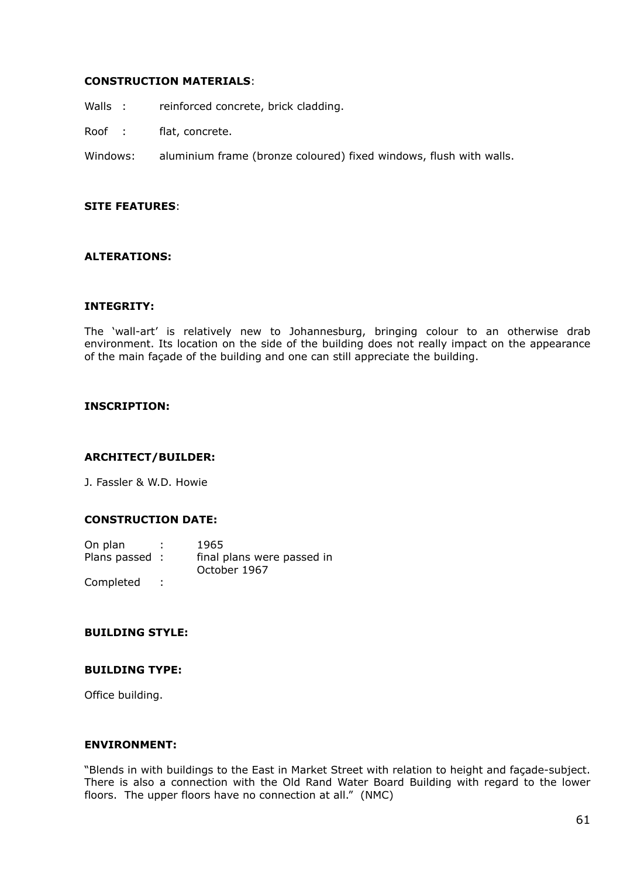### **CONSTRUCTION MATERIALS**:

- Walls : reinforced concrete, brick cladding.
- Roof : flat, concrete.
- Windows: aluminium frame (bronze coloured) fixed windows, flush with walls.

# **SITE FEATURES**:

# **ALTERATIONS:**

#### **INTEGRITY:**

The 'wall-art' is relatively new to Johannesburg, bringing colour to an otherwise drab environment. Its location on the side of the building does not really impact on the appearance of the main façade of the building and one can still appreciate the building.

#### **INSCRIPTION:**

#### **ARCHITECT/BUILDER:**

J. Fassler & W.D. Howie

# **CONSTRUCTION DATE:**

| On plan        | 1965                                       |
|----------------|--------------------------------------------|
| Plans passed : | final plans were passed in<br>October 1967 |
| Completed      |                                            |

### **BUILDING STYLE:**

#### **BUILDING TYPE:**

Office building.

#### **ENVIRONMENT:**

"Blends in with buildings to the East in Market Street with relation to height and façade-subject. There is also a connection with the Old Rand Water Board Building with regard to the lower floors. The upper floors have no connection at all." (NMC)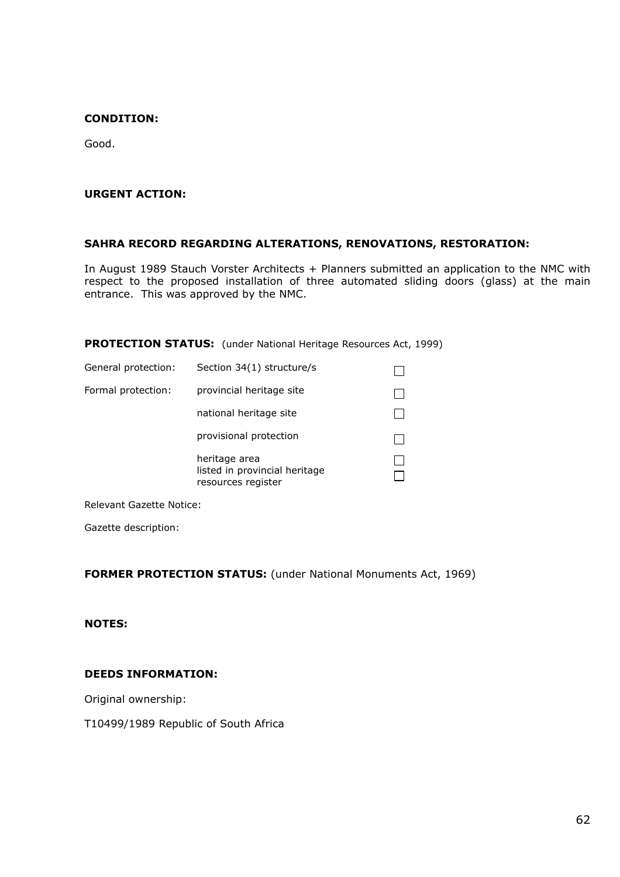#### **CONDITION:**

Good.

### **URGENT ACTION:**

# **SAHRA RECORD REGARDING ALTERATIONS, RENOVATIONS, RESTORATION:**

In August 1989 Stauch Vorster Architects + Planners submitted an application to the NMC with respect to the proposed installation of three automated sliding doors (glass) at the main entrance. This was approved by the NMC.

**PROTECTION STATUS:** (under National Heritage Resources Act, 1999)

| General protection: | Section 34(1) structure/s                                            |  |
|---------------------|----------------------------------------------------------------------|--|
| Formal protection:  | provincial heritage site                                             |  |
|                     | national heritage site                                               |  |
|                     | provisional protection                                               |  |
|                     | heritage area<br>listed in provincial heritage<br>resources register |  |

Relevant Gazette Notice:

Gazette description:

**FORMER PROTECTION STATUS:** (under National Monuments Act, 1969)

# **NOTES:**

#### **DEEDS INFORMATION:**

Original ownership:

T10499/1989 Republic of South Africa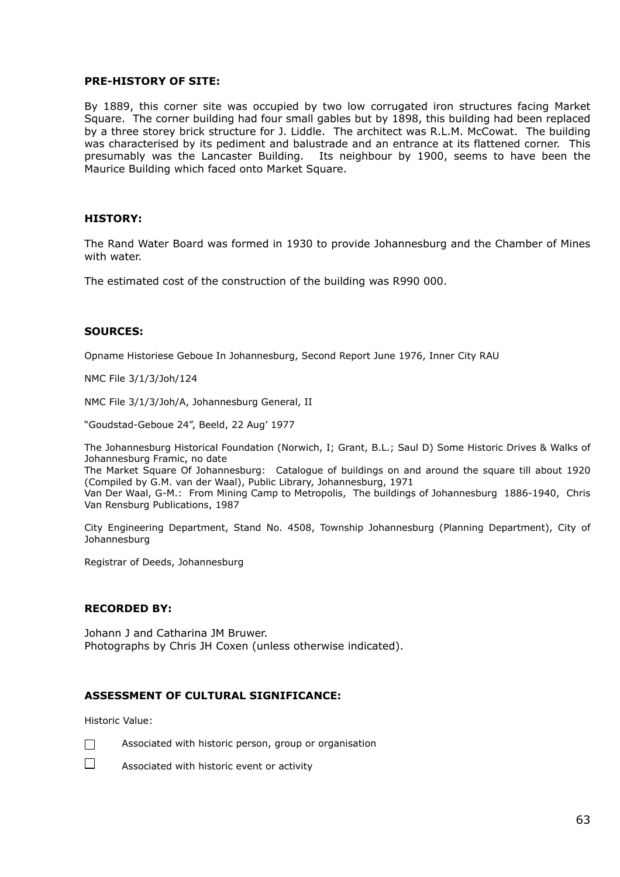#### **PRE-HISTORY OF SITE:**

By 1889, this corner site was occupied by two low corrugated iron structures facing Market Square. The corner building had four small gables but by 1898, this building had been replaced by a three storey brick structure for J. Liddle. The architect was R.L.M. McCowat. The building was characterised by its pediment and balustrade and an entrance at its flattened corner. This presumably was the Lancaster Building. Its neighbour by 1900, seems to have been the Maurice Building which faced onto Market Square.

#### **HISTORY:**

The Rand Water Board was formed in 1930 to provide Johannesburg and the Chamber of Mines with water.

The estimated cost of the construction of the building was R990 000.

#### **SOURCES:**

Opname Historiese Geboue In Johannesburg, Second Report June 1976, Inner City RAU

NMC File 3/1/3/Joh/124

NMC File 3/1/3/Joh/A, Johannesburg General, II

"Goudstad-Geboue 24", Beeld, 22 Aug' 1977

The Johannesburg Historical Foundation (Norwich, I; Grant, B.L.; Saul D) Some Historic Drives & Walks of Johannesburg Framic, no date

The Market Square Of Johannesburg: Catalogue of buildings on and around the square till about 1920 (Compiled by G.M. van der Waal), Public Library, Johannesburg, 1971 Van Der Waal, G-M.: From Mining Camp to Metropolis, The buildings of Johannesburg 1886-1940, Chris Van Rensburg Publications, 1987

City Engineering Department, Stand No. 4508, Township Johannesburg (Planning Department), City of Johannesburg

Registrar of Deeds, Johannesburg

#### **RECORDED BY:**

Johann J and Catharina JM Bruwer. Photographs by Chris JH Coxen (unless otherwise indicated).

#### **ASSESSMENT OF CULTURAL SIGNIFICANCE:**

Historic Value:



 $\Box$  Associated with historic person, group or organisation

 $\square$  Associated with historic event or activity